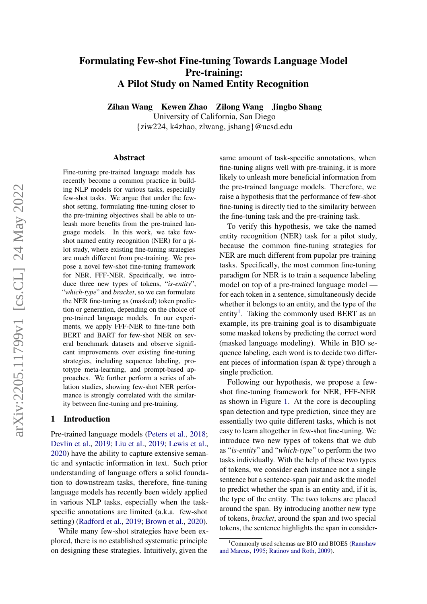# Formulating Few-shot Fine-tuning Towards Language Model Pre-training: A Pilot Study on Named Entity Recognition

Zihan Wang Kewen Zhao Zilong Wang Jingbo Shang University of California, San Diego {ziw224, k4zhao, zlwang, jshang}@ucsd.edu

#### Abstract

Fine-tuning pre-trained language models has recently become a common practice in building NLP models for various tasks, especially few-shot tasks. We argue that under the fewshot setting, formulating fine-tuning closer to the pre-training objectives shall be able to unleash more benefits from the pre-trained language models. In this work, we take fewshot named entity recognition (NER) for a pilot study, where existing fine-tuning strategies are much different from pre-training. We propose a novel few-shot fine-tuning framework for NER, FFF-NER. Specifically, we introduce three new types of tokens, "*is-entity*", "*which-type*" and *bracket*, so we can formulate the NER fine-tuning as (masked) token prediction or generation, depending on the choice of pre-trained language models. In our experiments, we apply FFF-NER to fine-tune both BERT and BART for few-shot NER on several benchmark datasets and observe significant improvements over existing fine-tuning strategies, including sequence labeling, prototype meta-learning, and prompt-based approaches. We further perform a series of ablation studies, showing few-shot NER performance is strongly correlated with the similarity between fine-tuning and pre-training.

#### 1 Introduction

Pre-trained language models [\(Peters et al.,](#page-9-0) [2018;](#page-9-0) [Devlin et al.,](#page-8-0) [2019;](#page-8-0) [Liu et al.,](#page-9-1) [2019;](#page-9-1) [Lewis et al.,](#page-8-1) [2020\)](#page-8-1) have the ability to capture extensive semantic and syntactic information in text. Such prior understanding of language offers a solid foundation to downstream tasks, therefore, fine-tuning language models has recently been widely applied in various NLP tasks, especially when the taskspecific annotations are limited (a.k.a. few-shot setting) [\(Radford et al.,](#page-9-2) [2019;](#page-9-2) [Brown et al.,](#page-8-2) [2020\)](#page-8-2).

While many few-shot strategies have been explored, there is no established systematic principle on designing these strategies. Intuitively, given the

same amount of task-specific annotations, when fine-tuning aligns well with pre-training, it is more likely to unleash more beneficial information from the pre-trained language models. Therefore, we raise a hypothesis that the performance of few-shot fine-tuning is directly tied to the similarity between the fine-tuning task and the pre-training task.

To verify this hypothesis, we take the named entity recognition (NER) task for a pilot study, because the common fine-tuning strategies for NER are much different from pupolar pre-training tasks. Specifically, the most common fine-tuning paradigm for NER is to train a sequence labeling model on top of a pre-trained language model for each token in a sentence, simultaneously decide whether it belongs to an entity, and the type of the entity<sup>[1](#page-0-0)</sup>. Taking the commonly used BERT as an example, its pre-training goal is to disambiguate some masked tokens by predicting the correct word (masked language modeling). While in BIO sequence labeling, each word is to decide two different pieces of information (span & type) through a single prediction.

Following our hypothesis, we propose a fewshot fine-tuning framework for NER, FFF-NER as shown in Figure [1.](#page-1-0) At the core is decoupling span detection and type prediction, since they are essentially two quite different tasks, which is not easy to learn altogether in few-shot fine-tuning. We introduce two new types of tokens that we dub as "*is-entity*" and "*which-type*" to perform the two tasks individually. With the help of these two types of tokens, we consider each instance not a single sentence but a sentence-span pair and ask the model to predict whether the span is an entity and, if it is, the type of the entity. The two tokens are placed around the span. By introducing another new type of tokens, *bracket*, around the span and two special tokens, the sentence highlights the span in consider-

<span id="page-0-0"></span><sup>&</sup>lt;sup>1</sup>Commonly used schemas are BIO and BIOES [\(Ramshaw](#page-9-3) [and Marcus,](#page-9-3) [1995;](#page-9-3) [Ratinov and Roth,](#page-9-4) [2009\)](#page-9-4).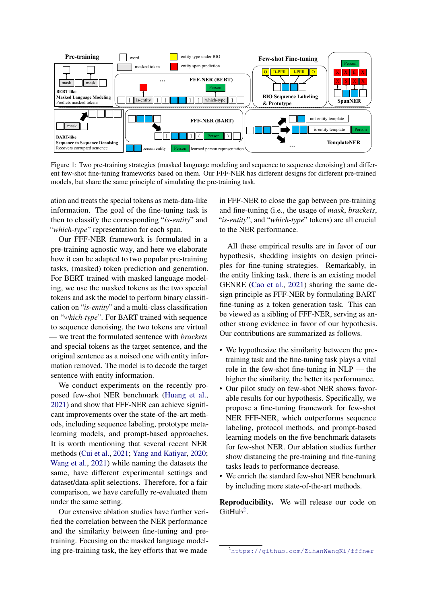<span id="page-1-0"></span>

… ent few-shot fine-tuning frameworks based on them. Our FFF-NER has different designs for different pre-trained Figure 1: Two pre-training strategies (masked language modeling and sequence to sequence denoising) and differmodels, but share the same principle of simulating the pre-training task.

ation and treats the special tokens as meta-data-like information. The goal of the fine-tuning task is then to classify the corresponding "*is-entity*" and "*which-type*" representation for each span.

Our FFF-NER framework is formulated in a pre-training agnostic way, and here we elaborate how it can be adapted to two popular pre-training tasks, (masked) token prediction and generation. For BERT trained with masked language modeling, we use the masked tokens as the two special tokens and ask the model to perform binary classification on "*is-entity*" and a multi-class classification on "*which-type*". For BART trained with sequence to sequence denoising, the two tokens are virtual — we treat the formulated sentence with *brackets* and special tokens as the target sentence, and the original sentence as a noised one with entity information removed. The model is to decode the target sentence with entity information.

We conduct experiments on the recently proposed few-shot NER benchmark [\(Huang et al.,](#page-8-3) [2021\)](#page-8-3) and show that FFF-NER can achieve significant improvements over the state-of-the-art methods, including sequence labeling, prototype metalearning models, and prompt-based approaches. It is worth mentioning that several recent NER methods [\(Cui et al.,](#page-8-4) [2021;](#page-8-4) [Yang and Katiyar,](#page-9-5) [2020;](#page-9-5) [Wang et al.,](#page-9-6) [2021\)](#page-9-6) while naming the datasets the same, have different experimental settings and dataset/data-split selections. Therefore, for a fair comparison, we have carefully re-evaluated them under the same setting.

Our extensive ablation studies have further verified the correlation between the NER performance and the similarity between fine-tuning and pretraining. Focusing on the masked language modeling pre-training task, the key efforts that we made

in FFF-NER to close the gap between pre-training and fine-tuning (i.e., the usage of *mask*, *brackets*, "*is-entity*", and "*which-type*" tokens) are all crucial to the NER performance.

All these empirical results are in favor of our hypothesis, shedding insights on design principles for fine-tuning strategies. Remarkably, in the entity linking task, there is an existing model GENRE [\(Cao et al.,](#page-8-5) [2021\)](#page-8-5) sharing the same design principle as FFF-NER by formulating BART fine-tuning as a token generation task. This can be viewed as a sibling of FFF-NER, serving as another strong evidence in favor of our hypothesis. Our contributions are summarized as follows.

- We hypothesize the similarity between the pretraining task and the fine-tuning task plays a vital role in the few-shot fine-tuning in NLP — the higher the similarity, the better its performance.
- Our pilot study on few-shot NER shows favorable results for our hypothesis. Specifically, we propose a fine-tuning framework for few-shot NER FFF-NER, which outperforms sequence labeling, protocol methods, and prompt-based learning models on the five benchmark datasets for few-shot NER. Our ablation studies further show distancing the pre-training and fine-tuning tasks leads to performance decrease.
- We enrich the standard few-shot NER benchmark by including more state-of-the-art methods.

Reproducibility. We will release our code on  $G$ itHub<sup>[2](#page-1-1)</sup>.

<span id="page-1-1"></span><sup>2</sup><https://github.com/ZihanWangKi/fffner>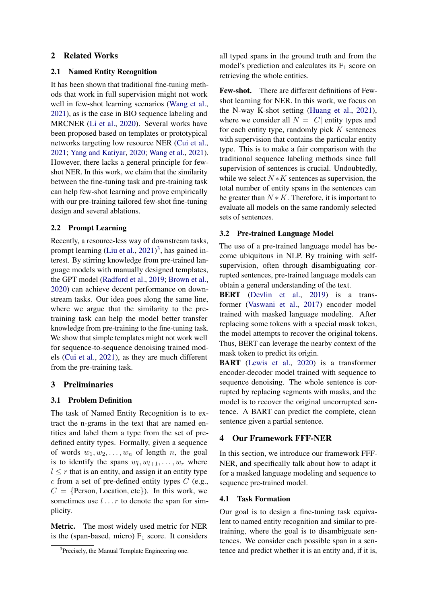# 2 Related Works

#### 2.1 Named Entity Recognition

It has been shown that traditional fine-tuning methods that work in full supervision might not work well in few-shot learning scenarios [\(Wang et al.,](#page-9-6) [2021\)](#page-9-6), as is the case in BIO sequence labeling and MRCNER [\(Li et al.,](#page-8-6) [2020\)](#page-8-6). Several works have been proposed based on templates or prototypical networks targeting low resource NER [\(Cui et al.,](#page-8-4) [2021;](#page-8-4) [Yang and Katiyar,](#page-9-5) [2020;](#page-9-5) [Wang et al.,](#page-9-6) [2021\)](#page-9-6). However, there lacks a general principle for fewshot NER. In this work, we claim that the similarity between the fine-tuning task and pre-training task can help few-shot learning and prove empirically with our pre-training tailored few-shot fine-tuning design and several ablations.

### 2.2 Prompt Learning

Recently, a resource-less way of downstream tasks, prompt learning [\(Liu et al.,](#page-9-7) [2021\)](#page-9-7)<sup>[3](#page-2-0)</sup>, has gained interest. By stirring knowledge from pre-trained language models with manually designed templates, the GPT model [\(Radford et al.,](#page-9-2) [2019;](#page-9-2) [Brown et al.,](#page-8-2) [2020\)](#page-8-2) can achieve decent performance on downstream tasks. Our idea goes along the same line, where we argue that the similarity to the pretraining task can help the model better transfer knowledge from pre-training to the fine-tuning task. We show that simple templates might not work well for sequence-to-sequence denoising trained models [\(Cui et al.,](#page-8-4) [2021\)](#page-8-4), as they are much different from the pre-training task.

#### 3 Preliminaries

#### 3.1 Problem Definition

The task of Named Entity Recognition is to extract the n-grams in the text that are named entities and label them a type from the set of predefined entity types. Formally, given a sequence of words  $w_1, w_2, \ldots, w_n$  of length n, the goal is to identify the spans  $w_l, w_{l+1}, \ldots, w_r$  where  $l \leq r$  that is an entity, and assign it an entity type  $c$  from a set of pre-defined entity types  $C$  (e.g.,  $C = \{Person, Location, etc\}$ . In this work, we sometimes use  $l \ldots r$  to denote the span for simplicity.

Metric. The most widely used metric for NER is the (span-based, micro)  $F_1$  score. It considers

all typed spans in the ground truth and from the model's prediction and calculates its  $F_1$  score on retrieving the whole entities.

Few-shot. There are different definitions of Fewshot learning for NER. In this work, we focus on the N-way K-shot setting [\(Huang et al.,](#page-8-3) [2021\)](#page-8-3), where we consider all  $N = |C|$  entity types and for each entity type, randomly pick  $K$  sentences with supervision that contains the particular entity type. This is to make a fair comparison with the traditional sequence labeling methods since full supervision of sentences is crucial. Undoubtedly, while we select  $N*K$  sentences as supervision, the total number of entity spans in the sentences can be greater than  $N * K$ . Therefore, it is important to evaluate all models on the same randomly selected sets of sentences.

### 3.2 Pre-trained Language Model

The use of a pre-trained language model has become ubiquitous in NLP. By training with selfsupervision, often through disambiguating corrupted sentences, pre-trained language models can obtain a general understanding of the text.

BERT [\(Devlin et al.,](#page-8-0) [2019\)](#page-8-0) is a transformer [\(Vaswani et al.,](#page-9-8) [2017\)](#page-9-8) encoder model trained with masked language modeling. After replacing some tokens with a special mask token, the model attempts to recover the original tokens. Thus, BERT can leverage the nearby context of the mask token to predict its origin.

BART [\(Lewis et al.,](#page-8-1) [2020\)](#page-8-1) is a transformer encoder-decoder model trained with sequence to sequence denoising. The whole sentence is corrupted by replacing segments with masks, and the model is to recover the original uncorrupted sentence. A BART can predict the complete, clean sentence given a partial sentence.

# 4 Our Framework FFF-NER

In this section, we introduce our framework FFF-NER, and specifically talk about how to adapt it for a masked language modeling and sequence to sequence pre-trained model.

### 4.1 Task Formation

Our goal is to design a fine-tuning task equivalent to named entity recognition and similar to pretraining, where the goal is to disambiguate sentences. We consider each possible span in a sentence and predict whether it is an entity and, if it is,

<span id="page-2-0"></span><sup>&</sup>lt;sup>3</sup>Precisely, the Manual Template Engineering one.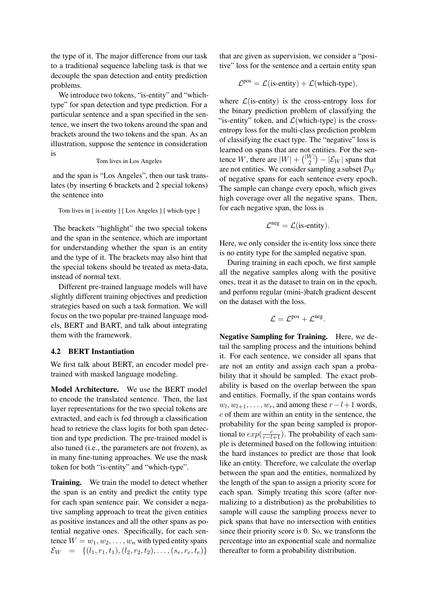the type of it. The major difference from our task to a traditional sequence labeling task is that we decouple the span detection and entity prediction problems.

We introduce two tokens, "is-entity" and "whichtype" for span detection and type prediction. For a particular sentence and a span specified in the sentence, we insert the two tokens around the span and brackets around the two tokens and the span. As an illustration, suppose the sentence in consideration is

#### Tom lives in Los Angeles

and the span is "Los Angeles", then our task translates (by inserting 6 brackets and 2 special tokens) the sentence into

Tom lives in [ is-entity ] [ Los Angeles ] [ which-type ]

The brackets "highlight" the two special tokens and the span in the sentence, which are important for understanding whether the span is an entity and the type of it. The brackets may also hint that the special tokens should be treated as meta-data, instead of normal text.

Different pre-trained language models will have slightly different training objectives and prediction strategies based on such a task formation. We will focus on the two popular pre-trained language models, BERT and BART, and talk about integrating them with the framework.

# 4.2 BERT Instantiation

We first talk about BERT, an encoder model pretrained with masked language modeling.

Model Architecture. We use the BERT model to encode the translated sentence. Then, the last layer representations for the two special tokens are extracted, and each is fed through a classification head to retrieve the class logits for both span detection and type prediction. The pre-trained model is also tuned (i.e., the parameters are not frozen), as in many fine-tuning approaches. We use the mask token for both "is-entity" and "which-type".

Training. We train the model to detect whether the span is an entity and predict the entity type for each span sentence pair. We consider a negative sampling approach to treat the given entities as positive instances and all the other spans as potential negative ones. Specifically, for each sentence  $W = w_1, w_2, \dots, w_n$  with typed entity spans  $\mathcal{E}_W = \{(l_1, r_1, t_1), (l_2, r_2, t_2), \ldots, (s_e, r_e, t_e)\}\$ 

that are given as supervision, we consider a "positive" loss for the sentence and a certain entity span

$$
\mathcal{L}^{pos} = \mathcal{L}(is\text{-entity}) + \mathcal{L}(which\text{-type}),
$$

where  $\mathcal{L}$ (is-entity) is the cross-entropy loss for the binary prediction problem of classifying the "is-entity" token, and  $\mathcal{L}$ (which-type) is the crossentropy loss for the multi-class prediction problem of classifying the exact type. The "negative" loss is learned on spans that are not entities. For the sentence W, there are  $|W| + \binom{|W|}{2}$  $\binom{W}{2} - |\mathcal{E}_W|$  spans that are not entities. We consider sampling a subset  $\mathcal{D}_W$ of negative spans for each sentence every epoch. The sample can change every epoch, which gives high coverage over all the negative spans. Then, for each negative span, the loss is

$$
\mathcal{L}^{neg} = \mathcal{L}(is\text{-entity}).
$$

Here, we only consider the is-entity loss since there is no entity type for the sampled negative span.

During training in each epoch, we first sample all the negative samples along with the positive ones, treat it as the dataset to train on in the epoch, and perform regular (mini-)batch gradient descent on the dataset with the loss.

$$
\mathcal{L}=\mathcal{L}^{pos}+\mathcal{L}^{neg}.
$$

Negative Sampling for Training. Here, we detail the sampling process and the intuitions behind it. For each sentence, we consider all spans that are not an entity and assign each span a probability that it should be sampled. The exact probability is based on the overlap between the span and entities. Formally, if the span contains words  $w_l, w_{l+1}, \ldots, w_r$ , and among these  $r - l + 1$  words, c of them are within an entity in the sentence, the probability for the span being sampled is proportional to  $exp(\frac{c}{r-l+1})$ . The probability of each sample is determined based on the following intuition: the hard instances to predict are those that look like an entity. Therefore, we calculate the overlap between the span and the entities, normalized by the length of the span to assign a priority score for each span. Simply treating this score (after normalizing to a distribution) as the probabilities to sample will cause the sampling process never to pick spans that have no intersection with entities since their priority score is 0. So, we transform the percentage into an exponential scale and normalize thereafter to form a probability distribution.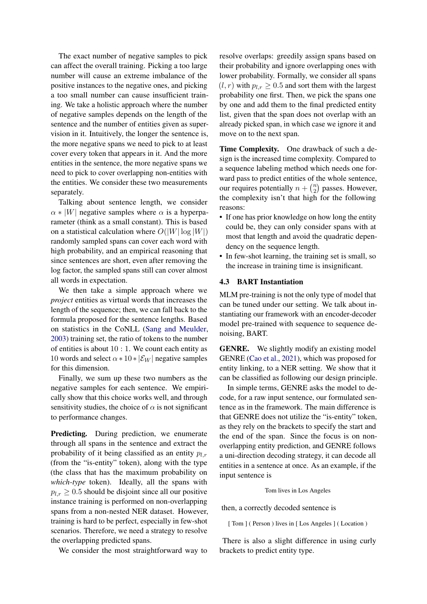The exact number of negative samples to pick can affect the overall training. Picking a too large number will cause an extreme imbalance of the positive instances to the negative ones, and picking a too small number can cause insufficient training. We take a holistic approach where the number of negative samples depends on the length of the sentence and the number of entities given as supervision in it. Intuitively, the longer the sentence is, the more negative spans we need to pick to at least cover every token that appears in it. And the more entities in the sentence, the more negative spans we need to pick to cover overlapping non-entities with the entities. We consider these two measurements separately.

Talking about sentence length, we consider  $\alpha * |W|$  negative samples where  $\alpha$  is a hyperparameter (think as a small constant). This is based on a statistical calculation where  $O(|W| \log |W|)$ randomly sampled spans can cover each word with high probability, and an empirical reasoning that since sentences are short, even after removing the log factor, the sampled spans still can cover almost all words in expectation.

We then take a simple approach where we *project* entities as virtual words that increases the length of the sequence; then, we can fall back to the formula proposed for the sentence lengths. Based on statistics in the CoNLL [\(Sang and Meulder,](#page-9-9) [2003\)](#page-9-9) training set, the ratio of tokens to the number of entities is about  $10:1$ . We count each entity as 10 words and select  $\alpha * 10 * |\mathcal{E}_W|$  negative samples for this dimension.

Finally, we sum up these two numbers as the negative samples for each sentence. We empirically show that this choice works well, and through sensitivity studies, the choice of  $\alpha$  is not significant to performance changes.

Predicting. During prediction, we enumerate through all spans in the sentence and extract the probability of it being classified as an entity  $p_{l,r}$ (from the "is-entity" token), along with the type (the class that has the maximum probability on *which-type* token). Ideally, all the spans with  $p_{l,r} \geq 0.5$  should be disjoint since all our positive instance training is performed on non-overlapping spans from a non-nested NER dataset. However, training is hard to be perfect, especially in few-shot scenarios. Therefore, we need a strategy to resolve the overlapping predicted spans.

We consider the most straightforward way to

resolve overlaps: greedily assign spans based on their probability and ignore overlapping ones with lower probability. Formally, we consider all spans  $(l, r)$  with  $p_{l,r} \geq 0.5$  and sort them with the largest probability one first. Then, we pick the spans one by one and add them to the final predicted entity list, given that the span does not overlap with an already picked span, in which case we ignore it and move on to the next span.

Time Complexity. One drawback of such a design is the increased time complexity. Compared to a sequence labeling method which needs one forward pass to predict entities of the whole sentence, our requires potentially  $n + \binom{n}{2}$  $n \choose 2$  passes. However, the complexity isn't that high for the following reasons:

- If one has prior knowledge on how long the entity could be, they can only consider spans with at most that length and avoid the quadratic dependency on the sequence length.
- In few-shot learning, the training set is small, so the increase in training time is insignificant.

### 4.3 BART Instantiation

MLM pre-training is not the only type of model that can be tuned under our setting. We talk about instantiating our framework with an encoder-decoder model pre-trained with sequence to sequence denoising, BART.

GENRE. We slightly modify an existing model GENRE [\(Cao et al.,](#page-8-5) [2021\)](#page-8-5), which was proposed for entity linking, to a NER setting. We show that it can be classified as following our design principle.

In simple terms, GENRE asks the model to decode, for a raw input sentence, our formulated sentence as in the framework. The main difference is that GENRE does not utilize the "is-entity" token, as they rely on the brackets to specify the start and the end of the span. Since the focus is on nonoverlapping entity prediction, and GENRE follows a uni-direction decoding strategy, it can decode all entities in a sentence at once. As an example, if the input sentence is

#### Tom lives in Los Angeles

then, a correctly decoded sentence is

[ Tom ] ( Person ) lives in [ Los Angeles ] ( Location )

There is also a slight difference in using curly brackets to predict entity type.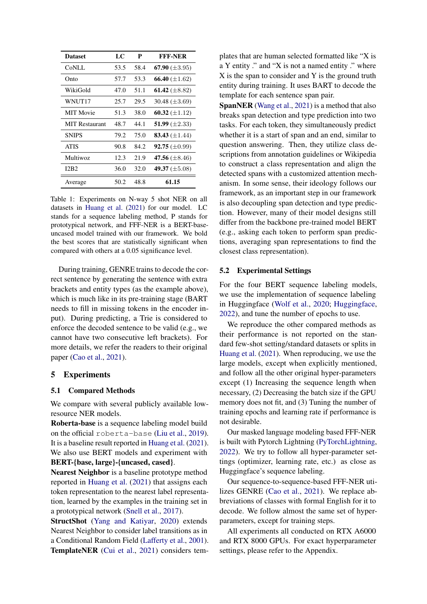<span id="page-5-0"></span>

| <b>Dataset</b>        | LC   | P    | <b>FFF-NER</b>              |
|-----------------------|------|------|-----------------------------|
| CoNLL                 | 53.5 | 58.4 | 67.90 $(\pm 3.95)$          |
| Onto                  | 57.7 | 53.3 | 66.40 $(\pm 1.62)$          |
| WikiGold              | 47.0 | 51.1 | 61.42 $(\pm 8.82)$          |
| WNUT17                | 25.7 | 29.5 | 30.48 $(\pm 3.69)$          |
| <b>MIT</b> Movie      | 51.3 | 38.0 | 60.32 $(\pm 1.12)$          |
| <b>MIT</b> Restaurant | 48.7 | 44.1 | 51.99 $(\pm 2.33)$          |
| <b>SNIPS</b>          | 79.2 | 75.0 | 83.43 $(\pm 1.44)$          |
| <b>ATIS</b>           | 90.8 | 84.2 | <b>92.75</b> ( $\pm 0.99$ ) |
| <b>Multiwoz</b>       | 12.3 | 21.9 | 47.56 $(\pm 8.46)$          |
| I2B <sub>2</sub>      | 36.0 | 32.0 | 49.37 $(\pm 5.08)$          |
| Average               | 50.2 | 48.8 | 61.15                       |

Table 1: Experiments on N-way 5 shot NER on all datasets in [Huang et al.](#page-8-3) [\(2021\)](#page-8-3) for our model. LC stands for a sequence labeling method, P stands for prototypical network, and FFF-NER is a BERT-baseuncased model trained with our framework. We bold the best scores that are statistically significant when compared with others at a 0.05 significance level.

During training, GENRE trains to decode the correct sentence by generating the sentence with extra brackets and entity types (as the example above), which is much like in its pre-training stage (BART needs to fill in missing tokens in the encoder input). During predicting, a Trie is considered to enforce the decoded sentence to be valid (e.g., we cannot have two consecutive left brackets). For more details, we refer the readers to their original paper [\(Cao et al.,](#page-8-5) [2021\)](#page-8-5).

#### 5 Experiments

### 5.1 Compared Methods

We compare with several publicly available lowresource NER models.

Roberta-base is a sequence labeling model build on the official roberta-base [\(Liu et al.,](#page-9-1) [2019\)](#page-9-1). It is a baseline result reported in [Huang et al.](#page-8-3) [\(2021\)](#page-8-3). We also use BERT models and experiment with BERT-{base, large}-{uncased, cased}.

Nearest Neighbor is a baseline prototype method reported in [Huang et al.](#page-8-3) [\(2021\)](#page-8-3) that assigns each token representation to the nearest label representation, learned by the examples in the training set in a prototypical network [\(Snell et al.,](#page-9-10) [2017\)](#page-9-10).

StructShot [\(Yang and Katiyar,](#page-9-5) [2020\)](#page-9-5) extends Nearest Neighbor to consider label transitions as in a Conditional Random Field [\(Lafferty et al.,](#page-8-7) [2001\)](#page-8-7). TemplateNER [\(Cui et al.,](#page-8-4) [2021\)](#page-8-4) considers templates that are human selected formatted like "X is a Y entity ." and "X is not a named entity ." where X is the span to consider and Y is the ground truth entity during training. It uses BART to decode the template for each sentence span pair.

SpanNER [\(Wang et al.,](#page-9-6) [2021\)](#page-9-6) is a method that also breaks span detection and type prediction into two tasks. For each token, they simultaneously predict whether it is a start of span and an end, similar to question answering. Then, they utilize class descriptions from annotation guidelines or Wikipedia to construct a class representation and align the detected spans with a customized attention mechanism. In some sense, their ideology follows our framework, as an important step in our framework is also decoupling span detection and type prediction. However, many of their model designs still differ from the backbone pre-trained model BERT (e.g., asking each token to perform span predictions, averaging span representations to find the closest class representation).

#### 5.2 Experimental Settings

For the four BERT sequence labeling models, we use the implementation of sequence labeling in Huggingface [\(Wolf et al.,](#page-9-11) [2020;](#page-9-11) [Huggingface,](#page-8-8) [2022\)](#page-8-8), and tune the number of epochs to use.

We reproduce the other compared methods as their performance is not reported on the standard few-shot setting/standard datasets or splits in [Huang et al.](#page-8-3) [\(2021\)](#page-8-3). When reproducing, we use the large models, except when explicitly mentioned, and follow all the other original hyper-parameters except (1) Increasing the sequence length when necessary, (2) Decreasing the batch size if the GPU memory does not fit, and (3) Tuning the number of training epochs and learning rate if performance is not desirable.

Our masked language modeling based FFF-NER is built with Pytorch Lightning [\(PyTorchLightning,](#page-9-12) [2022\)](#page-9-12). We try to follow all hyper-parameter settings (optimizer, learning rate, etc.) as close as Huggingface's sequence labeling.

Our sequence-to-sequence-based FFF-NER utilizes GENRE [\(Cao et al.,](#page-8-5) [2021\)](#page-8-5). We replace abbreviations of classes with formal English for it to decode. We follow almost the same set of hyperparameters, except for training steps.

All experiments all conducted on RTX A6000 and RTX 8000 GPUs. For exact hyperparameter settings, please refer to the Appendix.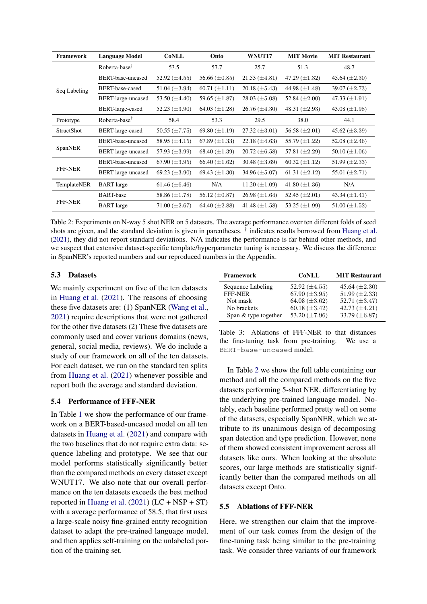<span id="page-6-0"></span>

| Framework         | <b>Language Model</b>     | <b>CoNLL</b>         | Onto                 | WNUT17               | <b>MIT Movie</b>     | <b>MIT Restaurant</b> |
|-------------------|---------------------------|----------------------|----------------------|----------------------|----------------------|-----------------------|
| Seq Labeling      | Roberta-base <sup>T</sup> | 53.5                 | 57.7                 | 25.7                 | 51.3                 | 48.7                  |
|                   | BERT-base-uncased         | 52.92 $(\pm 4.55)$   | 56.66 $(\pm 0.85)$   | $21.53 \ (\pm 4.81)$ | 47.29 $(\pm 1.32)$   | 45.64 $(\pm 2.30)$    |
|                   | BERT-base-cased           | 51.04 $(\pm 3.94)$   | $60.71 (\pm 1.11)$   | $20.18 \ (\pm 5.43)$ | 44.98 $(\pm 1.48)$   | 39.07 $(\pm 2.73)$    |
|                   | BERT-large-uncased        | 53.50 $(\pm 4.40)$   | 59.65 (±1.87)        | $28.03 \ (\pm 5.08)$ | 52.84 $(\pm 2.00)$   | 47.33 $(\pm 1.91)$    |
|                   | BERT-large-cased          | 52.23 $(\pm 3.90)$   | 64.03 $(\pm 1.28)$   | $26.76 \ (\pm 4.30)$ | 48.31 $(\pm 2.93)$   | 43.08 $(\pm 1.98)$    |
| Prototype         | Roberta-base <sup>†</sup> | 58.4                 | 53.3                 | 29.5                 | 38.0                 | 44.1                  |
| <b>StructShot</b> | BERT-large-cased          | 50.55 $(\pm 7.75)$   | 69.80 $(\pm 1.19)$   | $27.32 \ (\pm 3.01)$ | 56.58 $(\pm 2.01)$   | 45.62 $(\pm 3.39)$    |
| SpanNER           | BERT-base-uncased         | 58.95 $(\pm 4.15)$   | 67.89 $(\pm 1.33)$   | $22.18 \ (\pm 4.63)$ | 55.79 $(\pm 1.22)$   | 52.08 $(\pm 2.46)$    |
|                   | BERT-large-uncased        | 57.93 $(\pm 3.99)$   | 68.40 $(\pm 1.39)$   | $20.72 \ (\pm 6.58)$ | 57.81 $(\pm 2.29)$   | 50.10 $(\pm 1.06)$    |
| <b>FFF-NER</b>    | BERT-base-uncased         | 67.90 $(\pm 3.95)$   | $66.40 \ (\pm 1.62)$ | 30.48 $(\pm 3.69)$   | $60.32 \ (\pm 1.12)$ | 51.99 $(\pm 2.33)$    |
|                   | BERT-large-uncased        | 69.23 $(\pm 3.90)$   | 69.43 $(\pm 1.30)$   | 34.96 $(\pm 5.07)$   | 61.31 $(\pm 2.12)$   | 55.01 $(\pm 2.71)$    |
| TemplateNER       | <b>BART-large</b>         | 61.46 $(\pm 6.46)$   | N/A                  | $11.20 \ (\pm 1.09)$ | 41.80 $(\pm 1.36)$   | N/A                   |
| <b>FFF-NER</b>    | <b>BART-base</b>          | 58.86 $(\pm 1.78)$   | 56.12 $(\pm 0.87)$   | $26.98 \ (\pm 1.64)$ | 52.45 $(\pm 2.01)$   | 43.34 $(\pm 1.41)$    |
|                   | <b>BART-large</b>         | $71.00 \ (\pm 2.67)$ | 64.40 $(\pm 2.88)$   | 41.48 $(\pm 1.58)$   | 53.25 $(\pm 1.99)$   | $51.00 (\pm 1.52)$    |

Table 2: Experiments on N-way 5 shot NER on 5 datasets. The average performance over ten different folds of seed shots are given, and the standard deviation is given in parentheses. <sup>†</sup> indicates results borrowed from [Huang et al.](#page-8-3) [\(2021\)](#page-8-3), they did not report standard deviations. N/A indicates the performance is far behind other methods, and we suspect that extensive dataset-specific template/hyperparameter tuning is necessary. We discuss the difference in SpanNER's reported numbers and our reproduced numbers in the Appendix.

# 5.3 Datasets

We mainly experiment on five of the ten datasets in [Huang et al.](#page-8-3) [\(2021\)](#page-8-3). The reasons of choosing these five datasets are: (1) SpanNER [\(Wang et al.,](#page-9-6) [2021\)](#page-9-6) require descriptions that were not gathered for the other five datasets (2) These five datasets are commonly used and cover various domains (news, general, social media, reviews). We do include a study of our framework on all of the ten datasets. For each dataset, we run on the standard ten splits from [Huang et al.](#page-8-3) [\(2021\)](#page-8-3) whenever possible and report both the average and standard deviation.

### 5.4 Performance of FFF-NER

In Table [1](#page-5-0) we show the performance of our framework on a BERT-based-uncased model on all ten datasets in [Huang et al.](#page-8-3) [\(2021\)](#page-8-3) and compare with the two baselines that do not require extra data: sequence labeling and prototype. We see that our model performs statistically significantly better than the compared methods on every dataset except WNUT17. We also note that our overall performance on the ten datasets exceeds the best method reported in [Huang et al.](#page-8-3)  $(2021)$  (LC + NSP + ST) with a average performance of 58.5, that first uses a large-scale noisy fine-grained entity recognition dataset to adapt the pre-trained language model, and then applies self-training on the unlabeled portion of the training set.

<span id="page-6-1"></span>

| <b>CoNLL</b>       | <b>MIT Restaurant</b> |
|--------------------|-----------------------|
| 52.92 $(\pm 4.55)$ | 45.64 $(\pm 2.30)$    |
| 67.90 $(\pm 3.95)$ | 51.99 $(\pm 2.33)$    |
| 64.08 $(\pm 3.62)$ | 52.71 $(\pm 3.47)$    |
| 60.18 $(\pm 3.42)$ | 42.73 $(\pm 4.21)$    |
| 53.20 $(\pm 7.96)$ | 33.79 $(\pm 6.87)$    |
|                    |                       |

Table 3: Ablations of FFF-NER to that distances the fine-tuning task from pre-training. We use a BERT-base-uncased model.

In Table [2](#page-6-0) we show the full table containing our method and all the compared methods on the five datasets performing 5-shot NER, differentiating by the underlying pre-trained language model. Notably, each baseline performed pretty well on some of the datasets, especially SpanNER, which we attribute to its unanimous design of decomposing span detection and type prediction. However, none of them showed consistent improvement across all datasets like ours. When looking at the absolute scores, our large methods are statistically significantly better than the compared methods on all datasets except Onto.

### 5.5 Ablations of FFF-NER

Here, we strengthen our claim that the improvement of our task comes from the design of the fine-tuning task being similar to the pre-training task. We consider three variants of our framework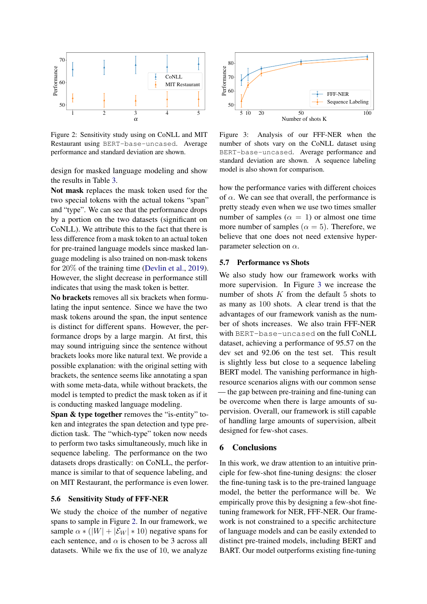<span id="page-7-0"></span>

Figure 2: Sensitivity study using on CoNLL and MIT Restaurant using BERT-base-uncased. Average performance and standard deviation are shown.

design for masked language modeling and show the results in Table [3.](#page-6-1)

Not mask replaces the mask token used for the two special tokens with the actual tokens "span" and "type". We can see that the performance drops by a portion on the two datasets (significant on CoNLL). We attribute this to the fact that there is less difference from a mask token to an actual token for pre-trained language models since masked language modeling is also trained on non-mask tokens for 20% of the training time [\(Devlin et al.,](#page-8-0) [2019\)](#page-8-0). However, the slight decrease in performance still indicates that using the mask token is better.

No brackets removes all six brackets when formulating the input sentence. Since we have the two mask tokens around the span, the input sentence is distinct for different spans. However, the performance drops by a large margin. At first, this may sound intriguing since the sentence without brackets looks more like natural text. We provide a possible explanation: with the original setting with brackets, the sentence seems like annotating a span with some meta-data, while without brackets, the model is tempted to predict the mask token as if it is conducting masked language modeling.

Span & type together removes the "is-entity" token and integrates the span detection and type prediction task. The "which-type" token now needs to perform two tasks simultaneously, much like in sequence labeling. The performance on the two datasets drops drastically: on CoNLL, the performance is similar to that of sequence labeling, and on MIT Restaurant, the performance is even lower.

#### 5.6 Sensitivity Study of FFF-NER

We study the choice of the number of negative spans to sample in Figure [2.](#page-7-0) In our framework, we sample  $\alpha$  \* (|W| + | $\mathcal{E}_W$ | \* 10) negative spans for each sentence, and  $\alpha$  is chosen to be 3 across all datasets. While we fix the use of 10, we analyze

<span id="page-7-1"></span>

Figure 3: Analysis of our FFF-NER when the number of shots vary on the CoNLL dataset using BERT-base-uncased. Average performance and standard deviation are shown. A sequence labeling model is also shown for comparison.

how the performance varies with different choices of  $\alpha$ . We can see that overall, the performance is pretty steady even when we use two times smaller number of samples ( $\alpha = 1$ ) or almost one time more number of samples ( $\alpha = 5$ ). Therefore, we believe that one does not need extensive hyperparameter selection on  $\alpha$ .

#### 5.7 Performance vs Shots

We also study how our framework works with more supervision. In Figure [3](#page-7-1) we increase the number of shots  $K$  from the default  $5$  shots to as many as 100 shots. A clear trend is that the advantages of our framework vanish as the number of shots increases. We also train FFF-NER with BERT-base-uncased on the full CoNLL dataset, achieving a performance of 95.57 on the dev set and 92.06 on the test set. This result is slightly less but close to a sequence labeling BERT model. The vanishing performance in highresource scenarios aligns with our common sense — the gap between pre-training and fine-tuning can be overcome when there is large amounts of supervision. Overall, our framework is still capable of handling large amounts of supervision, albeit designed for few-shot cases.

#### 6 Conclusions

In this work, we draw attention to an intuitive principle for few-shot fine-tuning designs: the closer the fine-tuning task is to the pre-trained language model, the better the performance will be. We empirically prove this by designing a few-shot finetuning framework for NER, FFF-NER. Our framework is not constrained to a specific architecture of language models and can be easily extended to distinct pre-trained models, including BERT and BART. Our model outperforms existing fine-tuning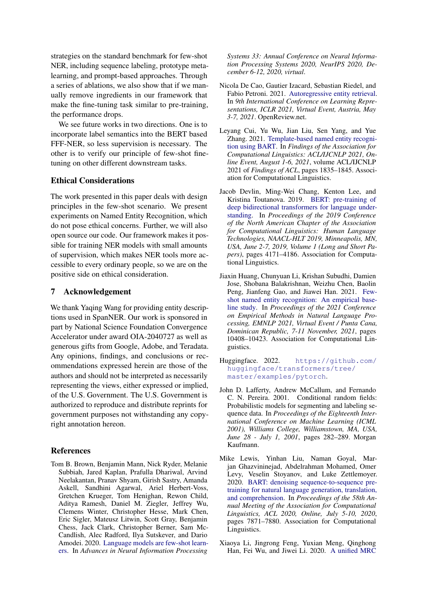strategies on the standard benchmark for few-shot NER, including sequence labeling, prototype metalearning, and prompt-based approaches. Through a series of ablations, we also show that if we manually remove ingredients in our framework that make the fine-tuning task similar to pre-training, the performance drops.

We see future works in two directions. One is to incorporate label semantics into the BERT based FFF-NER, so less supervision is necessary. The other is to verify our principle of few-shot finetuning on other different downstream tasks.

### Ethical Considerations

The work presented in this paper deals with design principles in the few-shot scenario. We present experiments on Named Entity Recognition, which do not pose ethical concerns. Further, we will also open source our code. Our framework makes it possible for training NER models with small amounts of supervision, which makes NER tools more accessible to every ordinary people, so we are on the positive side on ethical consideration.

### 7 Acknowledgement

We thank Yaqing Wang for providing entity descriptions used in SpanNER. Our work is sponsored in part by National Science Foundation Convergence Accelerator under award OIA-2040727 as well as generous gifts from Google, Adobe, and Teradata. Any opinions, findings, and conclusions or recommendations expressed herein are those of the authors and should not be interpreted as necessarily representing the views, either expressed or implied, of the U.S. Government. The U.S. Government is authorized to reproduce and distribute reprints for government purposes not withstanding any copyright annotation hereon.

#### References

<span id="page-8-2"></span>Tom B. Brown, Benjamin Mann, Nick Ryder, Melanie Subbiah, Jared Kaplan, Prafulla Dhariwal, Arvind Neelakantan, Pranav Shyam, Girish Sastry, Amanda Askell, Sandhini Agarwal, Ariel Herbert-Voss, Gretchen Krueger, Tom Henighan, Rewon Child, Aditya Ramesh, Daniel M. Ziegler, Jeffrey Wu, Clemens Winter, Christopher Hesse, Mark Chen, Eric Sigler, Mateusz Litwin, Scott Gray, Benjamin Chess, Jack Clark, Christopher Berner, Sam Mc-Candlish, Alec Radford, Ilya Sutskever, and Dario Amodei. 2020. [Language models are few-shot learn](https://proceedings.neurips.cc/paper/2020/hash/1457c0d6bfcb4967418bfb8ac142f64a-Abstract.html)[ers.](https://proceedings.neurips.cc/paper/2020/hash/1457c0d6bfcb4967418bfb8ac142f64a-Abstract.html) In *Advances in Neural Information Processing*

*Systems 33: Annual Conference on Neural Information Processing Systems 2020, NeurIPS 2020, December 6-12, 2020, virtual*.

- <span id="page-8-5"></span>Nicola De Cao, Gautier Izacard, Sebastian Riedel, and Fabio Petroni. 2021. [Autoregressive entity retrieval.](https://openreview.net/forum?id=5k8F6UU39V) In *9th International Conference on Learning Representations, ICLR 2021, Virtual Event, Austria, May 3-7, 2021*. OpenReview.net.
- <span id="page-8-4"></span>Leyang Cui, Yu Wu, Jian Liu, Sen Yang, and Yue Zhang. 2021. [Template-based named entity recogni](https://doi.org/10.18653/v1/2021.findings-acl.161)[tion using BART.](https://doi.org/10.18653/v1/2021.findings-acl.161) In *Findings of the Association for Computational Linguistics: ACL/IJCNLP 2021, Online Event, August 1-6, 2021*, volume ACL/IJCNLP 2021 of *Findings of ACL*, pages 1835–1845. Association for Computational Linguistics.
- <span id="page-8-0"></span>Jacob Devlin, Ming-Wei Chang, Kenton Lee, and Kristina Toutanova. 2019. [BERT: pre-training of](https://doi.org/10.18653/v1/n19-1423) [deep bidirectional transformers for language under](https://doi.org/10.18653/v1/n19-1423)[standing.](https://doi.org/10.18653/v1/n19-1423) In *Proceedings of the 2019 Conference of the North American Chapter of the Association for Computational Linguistics: Human Language Technologies, NAACL-HLT 2019, Minneapolis, MN, USA, June 2-7, 2019, Volume 1 (Long and Short Papers)*, pages 4171–4186. Association for Computational Linguistics.
- <span id="page-8-3"></span>Jiaxin Huang, Chunyuan Li, Krishan Subudhi, Damien Jose, Shobana Balakrishnan, Weizhu Chen, Baolin Peng, Jianfeng Gao, and Jiawei Han. 2021. [Few](https://doi.org/10.18653/v1/2021.emnlp-main.813)[shot named entity recognition: An empirical base](https://doi.org/10.18653/v1/2021.emnlp-main.813)[line study.](https://doi.org/10.18653/v1/2021.emnlp-main.813) In *Proceedings of the 2021 Conference on Empirical Methods in Natural Language Processing, EMNLP 2021, Virtual Event / Punta Cana, Dominican Republic, 7-11 November, 2021*, pages 10408–10423. Association for Computational Linguistics.
- <span id="page-8-8"></span>Huggingface. 2022. [https://github.com/](https://github.com/huggingface/transformers/tree/master/examples/pytorch) [huggingface/transformers/tree/](https://github.com/huggingface/transformers/tree/master/examples/pytorch) [master/examples/pytorch](https://github.com/huggingface/transformers/tree/master/examples/pytorch).
- <span id="page-8-7"></span>John D. Lafferty, Andrew McCallum, and Fernando C. N. Pereira. 2001. Conditional random fields: Probabilistic models for segmenting and labeling sequence data. In *Proceedings of the Eighteenth International Conference on Machine Learning (ICML 2001), Williams College, Williamstown, MA, USA, June 28 - July 1, 2001*, pages 282–289. Morgan Kaufmann.
- <span id="page-8-1"></span>Mike Lewis, Yinhan Liu, Naman Goyal, Marjan Ghazvininejad, Abdelrahman Mohamed, Omer Levy, Veselin Stoyanov, and Luke Zettlemoyer. 2020. [BART: denoising sequence-to-sequence pre](https://doi.org/10.18653/v1/2020.acl-main.703)[training for natural language generation, translation,](https://doi.org/10.18653/v1/2020.acl-main.703) [and comprehension.](https://doi.org/10.18653/v1/2020.acl-main.703) In *Proceedings of the 58th Annual Meeting of the Association for Computational Linguistics, ACL 2020, Online, July 5-10, 2020*, pages 7871–7880. Association for Computational Linguistics.
- <span id="page-8-6"></span>Xiaoya Li, Jingrong Feng, Yuxian Meng, Qinghong Han, Fei Wu, and Jiwei Li. 2020. [A unified MRC](https://doi.org/10.18653/v1/2020.acl-main.519)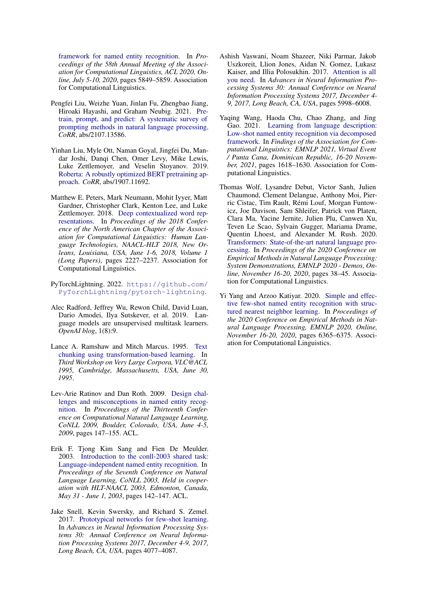[framework for named entity recognition.](https://doi.org/10.18653/v1/2020.acl-main.519) In *Proceedings of the 58th Annual Meeting of the Association for Computational Linguistics, ACL 2020, Online, July 5-10, 2020*, pages 5849–5859. Association for Computational Linguistics.

- <span id="page-9-7"></span>Pengfei Liu, Weizhe Yuan, Jinlan Fu, Zhengbao Jiang, Hiroaki Hayashi, and Graham Neubig. 2021. [Pre](http://arxiv.org/abs/2107.13586)[train, prompt, and predict: A systematic survey of](http://arxiv.org/abs/2107.13586) [prompting methods in natural language processing.](http://arxiv.org/abs/2107.13586) *CoRR*, abs/2107.13586.
- <span id="page-9-1"></span>Yinhan Liu, Myle Ott, Naman Goyal, Jingfei Du, Mandar Joshi, Danqi Chen, Omer Levy, Mike Lewis, Luke Zettlemoyer, and Veselin Stoyanov. 2019. [Roberta: A robustly optimized BERT pretraining ap](http://arxiv.org/abs/1907.11692)[proach.](http://arxiv.org/abs/1907.11692) *CoRR*, abs/1907.11692.
- <span id="page-9-0"></span>Matthew E. Peters, Mark Neumann, Mohit Iyyer, Matt Gardner, Christopher Clark, Kenton Lee, and Luke Zettlemoyer. 2018. [Deep contextualized word rep](https://doi.org/10.18653/v1/n18-1202)[resentations.](https://doi.org/10.18653/v1/n18-1202) In *Proceedings of the 2018 Conference of the North American Chapter of the Association for Computational Linguistics: Human Language Technologies, NAACL-HLT 2018, New Orleans, Louisiana, USA, June 1-6, 2018, Volume 1 (Long Papers)*, pages 2227–2237. Association for Computational Linguistics.
- <span id="page-9-12"></span>PyTorchLightning. 2022. [https://github.com/](https://github.com/PyTorchLightning/pytorch-lightning) [PyTorchLightning/pytorch-lightning](https://github.com/PyTorchLightning/pytorch-lightning).
- <span id="page-9-2"></span>Alec Radford, Jeffrey Wu, Rewon Child, David Luan, Dario Amodei, Ilya Sutskever, et al. 2019. Language models are unsupervised multitask learners. *OpenAI blog*, 1(8):9.
- <span id="page-9-3"></span>Lance A. Ramshaw and Mitch Marcus. 1995. [Text](https://aclanthology.org/W95-0107/) [chunking using transformation-based learning.](https://aclanthology.org/W95-0107/) In *Third Workshop on Very Large Corpora, VLC@ACL 1995, Cambridge, Massachusetts, USA, June 30, 1995*.
- <span id="page-9-4"></span>Lev-Arie Ratinov and Dan Roth. 2009. [Design chal](https://aclanthology.org/W09-1119/)[lenges and misconceptions in named entity recog](https://aclanthology.org/W09-1119/)[nition.](https://aclanthology.org/W09-1119/) In *Proceedings of the Thirteenth Conference on Computational Natural Language Learning, CoNLL 2009, Boulder, Colorado, USA, June 4-5, 2009*, pages 147–155. ACL.
- <span id="page-9-9"></span>Erik F. Tjong Kim Sang and Fien De Meulder. 2003. [Introduction to the conll-2003 shared task:](https://aclanthology.org/W03-0419/) [Language-independent named entity recognition.](https://aclanthology.org/W03-0419/) In *Proceedings of the Seventh Conference on Natural Language Learning, CoNLL 2003, Held in cooperation with HLT-NAACL 2003, Edmonton, Canada, May 31 - June 1, 2003*, pages 142–147. ACL.
- <span id="page-9-10"></span>Jake Snell, Kevin Swersky, and Richard S. Zemel. 2017. [Prototypical networks for few-shot learning.](https://proceedings.neurips.cc/paper/2017/hash/cb8da6767461f2812ae4290eac7cbc42-Abstract.html) In *Advances in Neural Information Processing Systems 30: Annual Conference on Neural Information Processing Systems 2017, December 4-9, 2017, Long Beach, CA, USA*, pages 4077–4087.
- <span id="page-9-8"></span>Ashish Vaswani, Noam Shazeer, Niki Parmar, Jakob Uszkoreit, Llion Jones, Aidan N. Gomez, Lukasz Kaiser, and Illia Polosukhin. 2017. [Attention is all](https://proceedings.neurips.cc/paper/2017/hash/3f5ee243547dee91fbd053c1c4a845aa-Abstract.html) [you need.](https://proceedings.neurips.cc/paper/2017/hash/3f5ee243547dee91fbd053c1c4a845aa-Abstract.html) In *Advances in Neural Information Processing Systems 30: Annual Conference on Neural Information Processing Systems 2017, December 4- 9, 2017, Long Beach, CA, USA*, pages 5998–6008.
- <span id="page-9-6"></span>Yaqing Wang, Haoda Chu, Chao Zhang, and Jing Gao. 2021. [Learning from language description:](https://doi.org/10.18653/v1/2021.findings-emnlp.139) [Low-shot named entity recognition via decomposed](https://doi.org/10.18653/v1/2021.findings-emnlp.139) [framework.](https://doi.org/10.18653/v1/2021.findings-emnlp.139) In *Findings of the Association for Computational Linguistics: EMNLP 2021, Virtual Event / Punta Cana, Dominican Republic, 16-20 November, 2021*, pages 1618–1630. Association for Computational Linguistics.
- <span id="page-9-11"></span>Thomas Wolf, Lysandre Debut, Victor Sanh, Julien Chaumond, Clement Delangue, Anthony Moi, Pierric Cistac, Tim Rault, Rémi Louf, Morgan Funtowicz, Joe Davison, Sam Shleifer, Patrick von Platen, Clara Ma, Yacine Jernite, Julien Plu, Canwen Xu, Teven Le Scao, Sylvain Gugger, Mariama Drame, Quentin Lhoest, and Alexander M. Rush. 2020. [Transformers: State-of-the-art natural language pro](https://doi.org/10.18653/v1/2020.emnlp-demos.6)[cessing.](https://doi.org/10.18653/v1/2020.emnlp-demos.6) In *Proceedings of the 2020 Conference on Empirical Methods in Natural Language Processing: System Demonstrations, EMNLP 2020 - Demos, Online, November 16-20, 2020*, pages 38–45. Association for Computational Linguistics.
- <span id="page-9-5"></span>Yi Yang and Arzoo Katiyar. 2020. [Simple and effec](https://doi.org/10.18653/v1/2020.emnlp-main.516)[tive few-shot named entity recognition with struc](https://doi.org/10.18653/v1/2020.emnlp-main.516)[tured nearest neighbor learning.](https://doi.org/10.18653/v1/2020.emnlp-main.516) In *Proceedings of the 2020 Conference on Empirical Methods in Natural Language Processing, EMNLP 2020, Online, November 16-20, 2020*, pages 6365–6375. Association for Computational Linguistics.